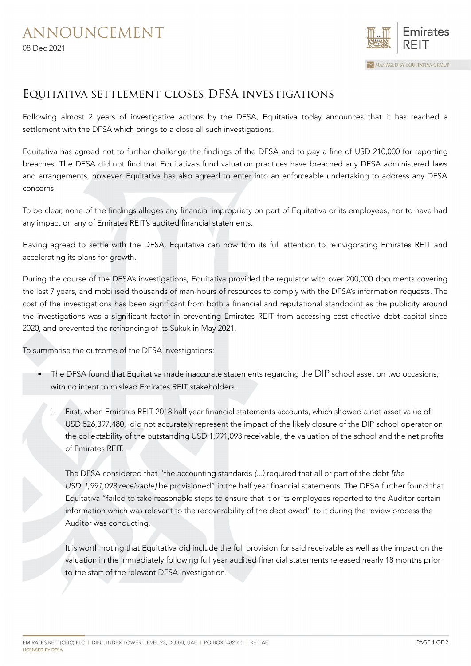

## Equitativa settlement closes DFSA investigations

Following almost 2 years of investigative actions by the DFSA, Equitativa today announces that it has reached a settlement with the DFSA which brings to a close all such investigations.

Equitativa has agreed not to further challenge the findings of the DFSA and to pay a fine of USD 210,000 for reporting breaches. The DFSA did not find that Equitativa's fund valuation practices have breached any DFSA administered laws and arrangements, however, Equitativa has also agreed to enter into an enforceable undertaking to address any DFSA concerns.

To be clear, none of the findings alleges any financial impropriety on part of Equitativa or its employees, nor to have had any impact on any of Emirates REIT's audited financial statements.

Having agreed to settle with the DFSA, Equitativa can now turn its full attention to reinvigorating Emirates REIT and accelerating its plans for growth.

During the course of the DFSA's investigations, Equitativa provided the regulator with over 200,000 documents covering the last 7 years, and mobilised thousands of man-hours of resources to comply with the DFSA's information requests. The cost of the investigations has been significant from both a financial and reputational standpoint as the publicity around the investigations was a significant factor in preventing Emirates REIT from accessing cost-effective debt capital since 2020, and prevented the refinancing of its Sukuk in May 2021.

To summarise the outcome of the DFSA investigations:

- The DFSA found that Equitativa made inaccurate statements regarding the DIP school asset on two occasions, with no intent to mislead Emirates REIT stakeholders.
	- First, when Emirates REIT 2018 half year financial statements accounts, which showed a net asset value of USD 526,397,480, did not accurately represent the impact of the likely closure of the DIP school operator on the collectability of the outstanding USD 1,991,093 receivable, the valuation of the school and the net profits of Emirates REIT.

The DFSA considered that "the accounting standards (...) required that all or part of the debt [the USD 1,991,093 receivable] be provisioned" in the half year financial statements. The DFSA further found that Equitativa "failed to take reasonable steps to ensure that it or its employees reported to the Auditor certain information which was relevant to the recoverability of the debt owed" to it during the review process the Auditor was conducting.

It is worth noting that Equitativa did include the full provision for said receivable as well as the impact on the valuation in the immediately following full year audited financial statements released nearly 18 months prior to the start of the relevant DFSA investigation.